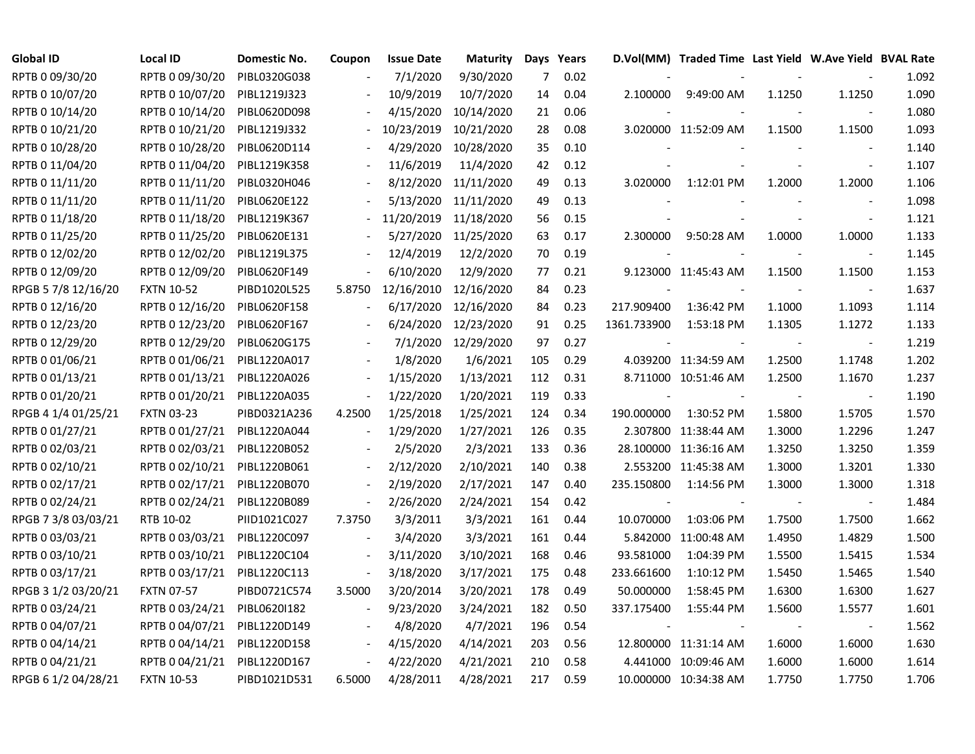| Global ID           | <b>Local ID</b>   | Domestic No. | Coupon | <b>Issue Date</b> | <b>Maturity</b> |                | Days Years |                          | D.Vol(MM) Traded Time Last Yield W.Ave Yield BVAL Rate |        |                          |       |
|---------------------|-------------------|--------------|--------|-------------------|-----------------|----------------|------------|--------------------------|--------------------------------------------------------|--------|--------------------------|-------|
| RPTB 0 09/30/20     | RPTB 0 09/30/20   | PIBL0320G038 |        | 7/1/2020          | 9/30/2020       | $\overline{7}$ | 0.02       |                          |                                                        |        |                          | 1.092 |
| RPTB 0 10/07/20     | RPTB 0 10/07/20   | PIBL1219J323 |        | 10/9/2019         | 10/7/2020       | 14             | 0.04       | 2.100000                 | 9:49:00 AM                                             | 1.1250 | 1.1250                   | 1.090 |
| RPTB 0 10/14/20     | RPTB 0 10/14/20   | PIBL0620D098 |        | 4/15/2020         | 10/14/2020      | 21             | 0.06       |                          |                                                        |        |                          | 1.080 |
| RPTB 0 10/21/20     | RPTB 0 10/21/20   | PIBL1219J332 |        | 10/23/2019        | 10/21/2020      | 28             | 0.08       |                          | 3.020000 11:52:09 AM                                   | 1.1500 | 1.1500                   | 1.093 |
| RPTB 0 10/28/20     | RPTB 0 10/28/20   | PIBL0620D114 |        | 4/29/2020         | 10/28/2020      | 35             | 0.10       |                          |                                                        |        | $\overline{\phantom{a}}$ | 1.140 |
| RPTB 0 11/04/20     | RPTB 0 11/04/20   | PIBL1219K358 |        | 11/6/2019         | 11/4/2020       | 42             | 0.12       |                          |                                                        |        | $\blacksquare$           | 1.107 |
| RPTB 0 11/11/20     | RPTB 0 11/11/20   | PIBL0320H046 |        | 8/12/2020         | 11/11/2020      | 49             | 0.13       | 3.020000                 | 1:12:01 PM                                             | 1.2000 | 1.2000                   | 1.106 |
| RPTB 0 11/11/20     | RPTB 0 11/11/20   | PIBL0620E122 |        | 5/13/2020         | 11/11/2020      | 49             | 0.13       |                          |                                                        |        | $\overline{\phantom{a}}$ | 1.098 |
| RPTB 0 11/18/20     | RPTB 0 11/18/20   | PIBL1219K367 |        | 11/20/2019        | 11/18/2020      | 56             | 0.15       |                          |                                                        |        | $\sim$                   | 1.121 |
| RPTB 0 11/25/20     | RPTB 0 11/25/20   | PIBL0620E131 |        | 5/27/2020         | 11/25/2020      | 63             | 0.17       | 2.300000                 | 9:50:28 AM                                             | 1.0000 | 1.0000                   | 1.133 |
| RPTB 0 12/02/20     | RPTB 0 12/02/20   | PIBL1219L375 |        | 12/4/2019         | 12/2/2020       | 70             | 0.19       |                          |                                                        |        | $\sim$                   | 1.145 |
| RPTB 0 12/09/20     | RPTB 0 12/09/20   | PIBL0620F149 |        | 6/10/2020         | 12/9/2020       | 77             | 0.21       |                          | 9.123000 11:45:43 AM                                   | 1.1500 | 1.1500                   | 1.153 |
| RPGB 5 7/8 12/16/20 | <b>FXTN 10-52</b> | PIBD1020L525 | 5.8750 | 12/16/2010        | 12/16/2020      | 84             | 0.23       |                          |                                                        |        | $\blacksquare$           | 1.637 |
| RPTB 0 12/16/20     | RPTB 0 12/16/20   | PIBL0620F158 |        | 6/17/2020         | 12/16/2020      | 84             | 0.23       | 217.909400               | 1:36:42 PM                                             | 1.1000 | 1.1093                   | 1.114 |
| RPTB 0 12/23/20     | RPTB 0 12/23/20   | PIBL0620F167 |        | 6/24/2020         | 12/23/2020      | 91             | 0.25       | 1361.733900              | 1:53:18 PM                                             | 1.1305 | 1.1272                   | 1.133 |
| RPTB 0 12/29/20     | RPTB 0 12/29/20   | PIBL0620G175 |        | 7/1/2020          | 12/29/2020      | 97             | 0.27       |                          |                                                        |        |                          | 1.219 |
| RPTB 0 01/06/21     | RPTB 0 01/06/21   | PIBL1220A017 |        | 1/8/2020          | 1/6/2021        | 105            | 0.29       |                          | 4.039200 11:34:59 AM                                   | 1.2500 | 1.1748                   | 1.202 |
| RPTB 0 01/13/21     | RPTB 0 01/13/21   | PIBL1220A026 |        | 1/15/2020         | 1/13/2021       | 112            | 0.31       |                          | 8.711000 10:51:46 AM                                   | 1.2500 | 1.1670                   | 1.237 |
| RPTB 0 01/20/21     | RPTB 0 01/20/21   | PIBL1220A035 |        | 1/22/2020         | 1/20/2021       | 119            | 0.33       | $\overline{\phantom{a}}$ |                                                        | $\sim$ | $\sim$                   | 1.190 |
| RPGB 4 1/4 01/25/21 | <b>FXTN 03-23</b> | PIBD0321A236 | 4.2500 | 1/25/2018         | 1/25/2021       | 124            | 0.34       | 190.000000               | 1:30:52 PM                                             | 1.5800 | 1.5705                   | 1.570 |
| RPTB 0 01/27/21     | RPTB 0 01/27/21   | PIBL1220A044 |        | 1/29/2020         | 1/27/2021       | 126            | 0.35       |                          | 2.307800 11:38:44 AM                                   | 1.3000 | 1.2296                   | 1.247 |
| RPTB 0 02/03/21     | RPTB 0 02/03/21   | PIBL1220B052 |        | 2/5/2020          | 2/3/2021        | 133            | 0.36       |                          | 28.100000 11:36:16 AM                                  | 1.3250 | 1.3250                   | 1.359 |
| RPTB 0 02/10/21     | RPTB 0 02/10/21   | PIBL1220B061 |        | 2/12/2020         | 2/10/2021       | 140            | 0.38       |                          | 2.553200 11:45:38 AM                                   | 1.3000 | 1.3201                   | 1.330 |
| RPTB 0 02/17/21     | RPTB 0 02/17/21   | PIBL1220B070 |        | 2/19/2020         | 2/17/2021       | 147            | 0.40       | 235.150800               | 1:14:56 PM                                             | 1.3000 | 1.3000                   | 1.318 |
| RPTB 0 02/24/21     | RPTB 0 02/24/21   | PIBL1220B089 |        | 2/26/2020         | 2/24/2021       | 154            | 0.42       | $\overline{\phantom{a}}$ | $\overline{\phantom{a}}$                               |        | $\sim$                   | 1.484 |
| RPGB 7 3/8 03/03/21 | RTB 10-02         | PIID1021C027 | 7.3750 | 3/3/2011          | 3/3/2021        | 161            | 0.44       | 10.070000                | 1:03:06 PM                                             | 1.7500 | 1.7500                   | 1.662 |
| RPTB 0 03/03/21     | RPTB 0 03/03/21   | PIBL1220C097 |        | 3/4/2020          | 3/3/2021        | 161            | 0.44       |                          | 5.842000 11:00:48 AM                                   | 1.4950 | 1.4829                   | 1.500 |
| RPTB 0 03/10/21     | RPTB 0 03/10/21   | PIBL1220C104 |        | 3/11/2020         | 3/10/2021       | 168            | 0.46       | 93.581000                | 1:04:39 PM                                             | 1.5500 | 1.5415                   | 1.534 |
| RPTB 0 03/17/21     | RPTB 0 03/17/21   | PIBL1220C113 |        | 3/18/2020         | 3/17/2021       | 175            | 0.48       | 233.661600               | 1:10:12 PM                                             | 1.5450 | 1.5465                   | 1.540 |
| RPGB 3 1/2 03/20/21 | <b>FXTN 07-57</b> | PIBD0721C574 | 3.5000 | 3/20/2014         | 3/20/2021       | 178            | 0.49       | 50.000000                | 1:58:45 PM                                             | 1.6300 | 1.6300                   | 1.627 |
| RPTB 0 03/24/21     | RPTB 0 03/24/21   | PIBL06201182 |        | 9/23/2020         | 3/24/2021       | 182            | 0.50       | 337.175400               | 1:55:44 PM                                             | 1.5600 | 1.5577                   | 1.601 |
| RPTB 0 04/07/21     | RPTB 0 04/07/21   | PIBL1220D149 |        | 4/8/2020          | 4/7/2021        | 196            | 0.54       |                          |                                                        |        | $\blacksquare$           | 1.562 |
| RPTB 0 04/14/21     | RPTB 0 04/14/21   | PIBL1220D158 |        | 4/15/2020         | 4/14/2021       | 203            | 0.56       |                          | 12.800000 11:31:14 AM                                  | 1.6000 | 1.6000                   | 1.630 |
| RPTB 0 04/21/21     | RPTB 0 04/21/21   | PIBL1220D167 |        | 4/22/2020         | 4/21/2021       | 210            | 0.58       |                          | 4.441000 10:09:46 AM                                   | 1.6000 | 1.6000                   | 1.614 |
| RPGB 6 1/2 04/28/21 | <b>FXTN 10-53</b> | PIBD1021D531 | 6.5000 | 4/28/2011         | 4/28/2021       | 217            | 0.59       |                          | 10.000000 10:34:38 AM                                  | 1.7750 | 1.7750                   | 1.706 |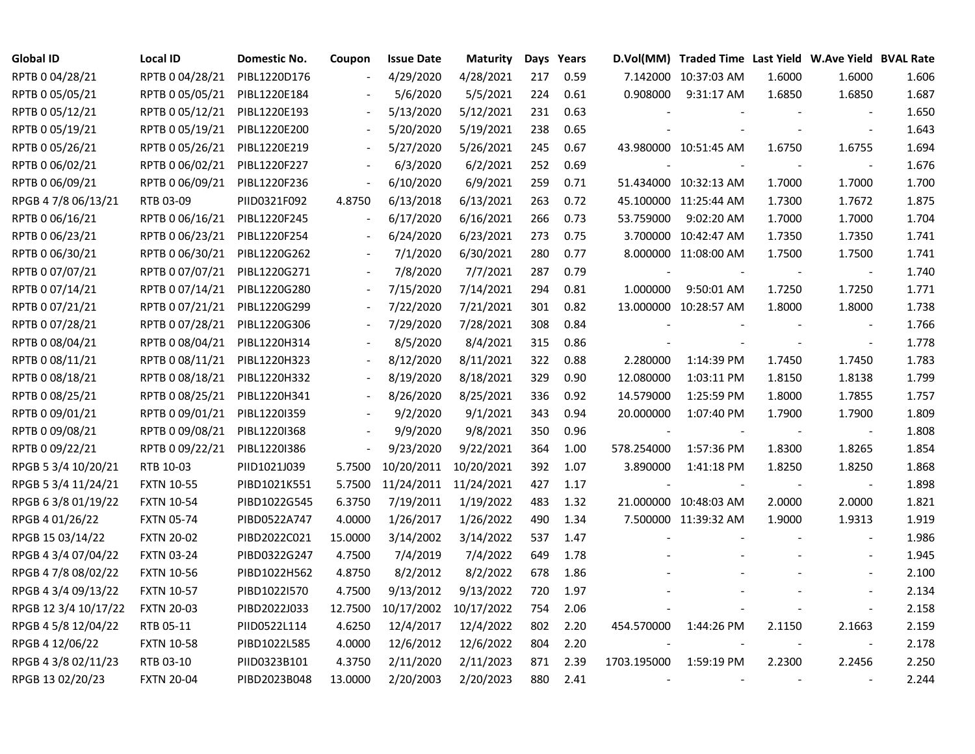| <b>Global ID</b>     | <b>Local ID</b>   | Domestic No. | Coupon  | <b>Issue Date</b> | <b>Maturity</b> |     | Days Years |                          | D.Vol(MM) Traded Time Last Yield W.Ave Yield BVAL Rate |        |                          |       |
|----------------------|-------------------|--------------|---------|-------------------|-----------------|-----|------------|--------------------------|--------------------------------------------------------|--------|--------------------------|-------|
| RPTB 0 04/28/21      | RPTB 0 04/28/21   | PIBL1220D176 |         | 4/29/2020         | 4/28/2021       | 217 | 0.59       |                          | 7.142000 10:37:03 AM                                   | 1.6000 | 1.6000                   | 1.606 |
| RPTB 0 05/05/21      | RPTB 0 05/05/21   | PIBL1220E184 |         | 5/6/2020          | 5/5/2021        | 224 | 0.61       | 0.908000                 | 9:31:17 AM                                             | 1.6850 | 1.6850                   | 1.687 |
| RPTB 0 05/12/21      | RPTB 0 05/12/21   | PIBL1220E193 |         | 5/13/2020         | 5/12/2021       | 231 | 0.63       |                          |                                                        |        |                          | 1.650 |
| RPTB 0 05/19/21      | RPTB 0 05/19/21   | PIBL1220E200 |         | 5/20/2020         | 5/19/2021       | 238 | 0.65       |                          |                                                        |        | $\overline{\phantom{a}}$ | 1.643 |
| RPTB 0 05/26/21      | RPTB 0 05/26/21   | PIBL1220E219 |         | 5/27/2020         | 5/26/2021       | 245 | 0.67       |                          | 43.980000 10:51:45 AM                                  | 1.6750 | 1.6755                   | 1.694 |
| RPTB 0 06/02/21      | RPTB 0 06/02/21   | PIBL1220F227 |         | 6/3/2020          | 6/2/2021        | 252 | 0.69       |                          |                                                        |        |                          | 1.676 |
| RPTB 0 06/09/21      | RPTB 0 06/09/21   | PIBL1220F236 |         | 6/10/2020         | 6/9/2021        | 259 | 0.71       |                          | 51.434000 10:32:13 AM                                  | 1.7000 | 1.7000                   | 1.700 |
| RPGB 4 7/8 06/13/21  | RTB 03-09         | PIID0321F092 | 4.8750  | 6/13/2018         | 6/13/2021       | 263 | 0.72       |                          | 45.100000 11:25:44 AM                                  | 1.7300 | 1.7672                   | 1.875 |
| RPTB 0 06/16/21      | RPTB 0 06/16/21   | PIBL1220F245 |         | 6/17/2020         | 6/16/2021       | 266 | 0.73       | 53.759000                | 9:02:20 AM                                             | 1.7000 | 1.7000                   | 1.704 |
| RPTB 0 06/23/21      | RPTB 0 06/23/21   | PIBL1220F254 |         | 6/24/2020         | 6/23/2021       | 273 | 0.75       |                          | 3.700000 10:42:47 AM                                   | 1.7350 | 1.7350                   | 1.741 |
| RPTB 0 06/30/21      | RPTB 0 06/30/21   | PIBL1220G262 |         | 7/1/2020          | 6/30/2021       | 280 | 0.77       |                          | 8.000000 11:08:00 AM                                   | 1.7500 | 1.7500                   | 1.741 |
| RPTB 0 07/07/21      | RPTB 0 07/07/21   | PIBL1220G271 |         | 7/8/2020          | 7/7/2021        | 287 | 0.79       | $\overline{\phantom{a}}$ |                                                        |        | $\overline{\phantom{a}}$ | 1.740 |
| RPTB 0 07/14/21      | RPTB 0 07/14/21   | PIBL1220G280 |         | 7/15/2020         | 7/14/2021       | 294 | 0.81       | 1.000000                 | 9:50:01 AM                                             | 1.7250 | 1.7250                   | 1.771 |
| RPTB 0 07/21/21      | RPTB 0 07/21/21   | PIBL1220G299 |         | 7/22/2020         | 7/21/2021       | 301 | 0.82       |                          | 13.000000 10:28:57 AM                                  | 1.8000 | 1.8000                   | 1.738 |
| RPTB 0 07/28/21      | RPTB 0 07/28/21   | PIBL1220G306 |         | 7/29/2020         | 7/28/2021       | 308 | 0.84       |                          |                                                        |        |                          | 1.766 |
| RPTB 0 08/04/21      | RPTB 0 08/04/21   | PIBL1220H314 |         | 8/5/2020          | 8/4/2021        | 315 | 0.86       |                          |                                                        |        |                          | 1.778 |
| RPTB 0 08/11/21      | RPTB 0 08/11/21   | PIBL1220H323 |         | 8/12/2020         | 8/11/2021       | 322 | 0.88       | 2.280000                 | 1:14:39 PM                                             | 1.7450 | 1.7450                   | 1.783 |
| RPTB 0 08/18/21      | RPTB 0 08/18/21   | PIBL1220H332 |         | 8/19/2020         | 8/18/2021       | 329 | 0.90       | 12.080000                | 1:03:11 PM                                             | 1.8150 | 1.8138                   | 1.799 |
| RPTB 0 08/25/21      | RPTB 0 08/25/21   | PIBL1220H341 |         | 8/26/2020         | 8/25/2021       | 336 | 0.92       | 14.579000                | 1:25:59 PM                                             | 1.8000 | 1.7855                   | 1.757 |
| RPTB 0 09/01/21      | RPTB 0 09/01/21   | PIBL1220I359 |         | 9/2/2020          | 9/1/2021        | 343 | 0.94       | 20.000000                | 1:07:40 PM                                             | 1.7900 | 1.7900                   | 1.809 |
| RPTB 0 09/08/21      | RPTB 0 09/08/21   | PIBL1220I368 |         | 9/9/2020          | 9/8/2021        | 350 | 0.96       |                          |                                                        |        | $\blacksquare$           | 1.808 |
| RPTB 0 09/22/21      | RPTB 0 09/22/21   | PIBL1220I386 |         | 9/23/2020         | 9/22/2021       | 364 | 1.00       | 578.254000               | 1:57:36 PM                                             | 1.8300 | 1.8265                   | 1.854 |
| RPGB 5 3/4 10/20/21  | RTB 10-03         | PIID1021J039 | 5.7500  | 10/20/2011        | 10/20/2021      | 392 | 1.07       | 3.890000                 | 1:41:18 PM                                             | 1.8250 | 1.8250                   | 1.868 |
| RPGB 5 3/4 11/24/21  | <b>FXTN 10-55</b> | PIBD1021K551 | 5.7500  | 11/24/2011        | 11/24/2021      | 427 | 1.17       |                          |                                                        |        | $\sim$                   | 1.898 |
| RPGB 63/8 01/19/22   | <b>FXTN 10-54</b> | PIBD1022G545 | 6.3750  | 7/19/2011         | 1/19/2022       | 483 | 1.32       |                          | 21.000000 10:48:03 AM                                  | 2.0000 | 2.0000                   | 1.821 |
| RPGB 4 01/26/22      | <b>FXTN 05-74</b> | PIBD0522A747 | 4.0000  | 1/26/2017         | 1/26/2022       | 490 | 1.34       |                          | 7.500000 11:39:32 AM                                   | 1.9000 | 1.9313                   | 1.919 |
| RPGB 15 03/14/22     | <b>FXTN 20-02</b> | PIBD2022C021 | 15.0000 | 3/14/2002         | 3/14/2022       | 537 | 1.47       |                          |                                                        |        |                          | 1.986 |
| RPGB 4 3/4 07/04/22  | <b>FXTN 03-24</b> | PIBD0322G247 | 4.7500  | 7/4/2019          | 7/4/2022        | 649 | 1.78       |                          |                                                        |        |                          | 1.945 |
| RPGB 4 7/8 08/02/22  | <b>FXTN 10-56</b> | PIBD1022H562 | 4.8750  | 8/2/2012          | 8/2/2022        | 678 | 1.86       |                          |                                                        |        |                          | 2.100 |
| RPGB 4 3/4 09/13/22  | <b>FXTN 10-57</b> | PIBD1022I570 | 4.7500  | 9/13/2012         | 9/13/2022       | 720 | 1.97       |                          |                                                        |        |                          | 2.134 |
| RPGB 12 3/4 10/17/22 | <b>FXTN 20-03</b> | PIBD2022J033 | 12.7500 | 10/17/2002        | 10/17/2022      | 754 | 2.06       |                          |                                                        |        | $\blacksquare$           | 2.158 |
| RPGB 4 5/8 12/04/22  | RTB 05-11         | PIID0522L114 | 4.6250  | 12/4/2017         | 12/4/2022       | 802 | 2.20       | 454.570000               | 1:44:26 PM                                             | 2.1150 | 2.1663                   | 2.159 |
| RPGB 4 12/06/22      | <b>FXTN 10-58</b> | PIBD1022L585 | 4.0000  | 12/6/2012         | 12/6/2022       | 804 | 2.20       |                          |                                                        |        | $\blacksquare$           | 2.178 |
| RPGB 4 3/8 02/11/23  | RTB 03-10         | PIID0323B101 | 4.3750  | 2/11/2020         | 2/11/2023       | 871 | 2.39       | 1703.195000              | 1:59:19 PM                                             | 2.2300 | 2.2456                   | 2.250 |
| RPGB 13 02/20/23     | <b>FXTN 20-04</b> | PIBD2023B048 | 13.0000 | 2/20/2003         | 2/20/2023       | 880 | 2.41       | $\overline{\phantom{a}}$ | $\overline{\phantom{a}}$                               |        |                          | 2.244 |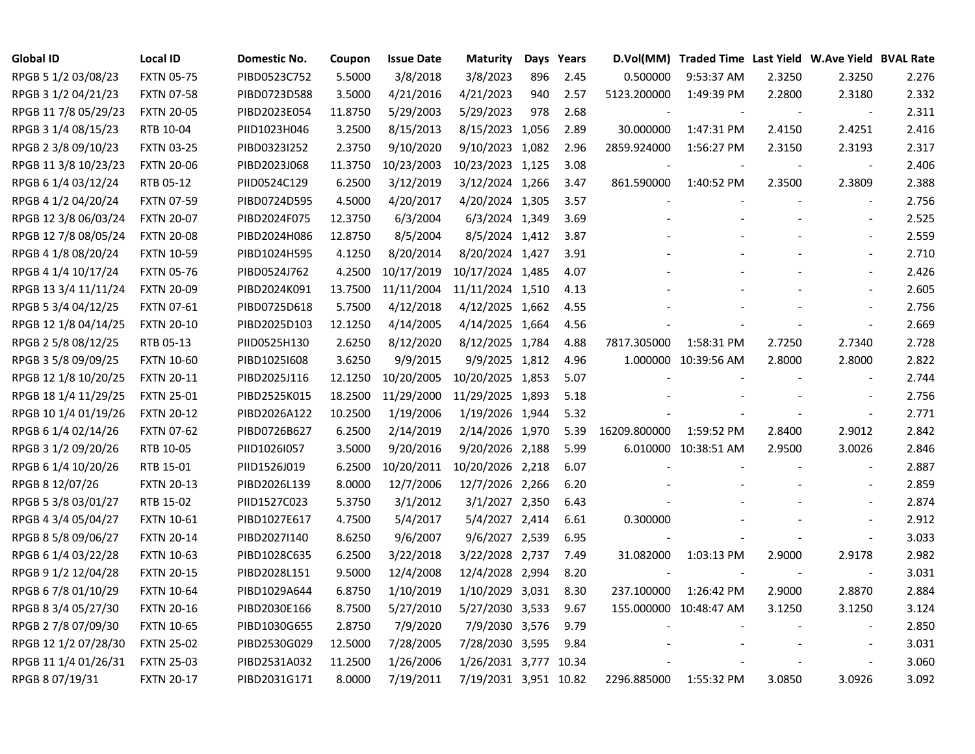| <b>Global ID</b>     | <b>Local ID</b>   | Domestic No. | Coupon  | <b>Issue Date</b> | Maturity              |     | Days Years |              | D.Vol(MM) Traded Time Last Yield W.Ave Yield BVAL Rate |        |                          |       |
|----------------------|-------------------|--------------|---------|-------------------|-----------------------|-----|------------|--------------|--------------------------------------------------------|--------|--------------------------|-------|
| RPGB 5 1/2 03/08/23  | <b>FXTN 05-75</b> | PIBD0523C752 | 5.5000  | 3/8/2018          | 3/8/2023              | 896 | 2.45       | 0.500000     | 9:53:37 AM                                             | 2.3250 | 2.3250                   | 2.276 |
| RPGB 3 1/2 04/21/23  | <b>FXTN 07-58</b> | PIBD0723D588 | 3.5000  | 4/21/2016         | 4/21/2023             | 940 | 2.57       | 5123.200000  | 1:49:39 PM                                             | 2.2800 | 2.3180                   | 2.332 |
| RPGB 11 7/8 05/29/23 | <b>FXTN 20-05</b> | PIBD2023E054 | 11.8750 | 5/29/2003         | 5/29/2023             | 978 | 2.68       |              |                                                        |        |                          | 2.311 |
| RPGB 3 1/4 08/15/23  | RTB 10-04         | PIID1023H046 | 3.2500  | 8/15/2013         | 8/15/2023 1,056       |     | 2.89       | 30.000000    | 1:47:31 PM                                             | 2.4150 | 2.4251                   | 2.416 |
| RPGB 2 3/8 09/10/23  | <b>FXTN 03-25</b> | PIBD0323I252 | 2.3750  | 9/10/2020         | 9/10/2023 1,082       |     | 2.96       | 2859.924000  | 1:56:27 PM                                             | 2.3150 | 2.3193                   | 2.317 |
| RPGB 11 3/8 10/23/23 | <b>FXTN 20-06</b> | PIBD2023J068 | 11.3750 | 10/23/2003        | 10/23/2023 1,125      |     | 3.08       |              |                                                        |        | $\overline{\phantom{a}}$ | 2.406 |
| RPGB 6 1/4 03/12/24  | RTB 05-12         | PIID0524C129 | 6.2500  | 3/12/2019         | 3/12/2024 1,266       |     | 3.47       | 861.590000   | 1:40:52 PM                                             | 2.3500 | 2.3809                   | 2.388 |
| RPGB 4 1/2 04/20/24  | <b>FXTN 07-59</b> | PIBD0724D595 | 4.5000  | 4/20/2017         | 4/20/2024 1,305       |     | 3.57       |              |                                                        |        | $\overline{\phantom{a}}$ | 2.756 |
| RPGB 12 3/8 06/03/24 | <b>FXTN 20-07</b> | PIBD2024F075 | 12.3750 | 6/3/2004          | 6/3/2024 1,349        |     | 3.69       |              |                                                        |        | $\overline{\phantom{a}}$ | 2.525 |
| RPGB 12 7/8 08/05/24 | <b>FXTN 20-08</b> | PIBD2024H086 | 12.8750 | 8/5/2004          | 8/5/2024 1,412        |     | 3.87       |              |                                                        |        | $\blacksquare$           | 2.559 |
| RPGB 4 1/8 08/20/24  | <b>FXTN 10-59</b> | PIBD1024H595 | 4.1250  | 8/20/2014         | 8/20/2024 1,427       |     | 3.91       |              |                                                        |        | $\overline{\phantom{a}}$ | 2.710 |
| RPGB 4 1/4 10/17/24  | <b>FXTN 05-76</b> | PIBD0524J762 | 4.2500  | 10/17/2019        | 10/17/2024 1,485      |     | 4.07       |              |                                                        |        | $\blacksquare$           | 2.426 |
| RPGB 13 3/4 11/11/24 | <b>FXTN 20-09</b> | PIBD2024K091 | 13.7500 | 11/11/2004        | 11/11/2024 1,510      |     | 4.13       |              |                                                        |        | $\overline{a}$           | 2.605 |
| RPGB 5 3/4 04/12/25  | <b>FXTN 07-61</b> | PIBD0725D618 | 5.7500  | 4/12/2018         | 4/12/2025 1,662       |     | 4.55       |              |                                                        |        |                          | 2.756 |
| RPGB 12 1/8 04/14/25 | <b>FXTN 20-10</b> | PIBD2025D103 | 12.1250 | 4/14/2005         | 4/14/2025 1,664       |     | 4.56       |              |                                                        |        |                          | 2.669 |
| RPGB 2 5/8 08/12/25  | RTB 05-13         | PIID0525H130 | 2.6250  | 8/12/2020         | 8/12/2025 1,784       |     | 4.88       | 7817.305000  | 1:58:31 PM                                             | 2.7250 | 2.7340                   | 2.728 |
| RPGB 3 5/8 09/09/25  | <b>FXTN 10-60</b> | PIBD10251608 | 3.6250  | 9/9/2015          | 9/9/2025 1,812        |     | 4.96       |              | 1.000000 10:39:56 AM                                   | 2.8000 | 2.8000                   | 2.822 |
| RPGB 12 1/8 10/20/25 | <b>FXTN 20-11</b> | PIBD2025J116 | 12.1250 | 10/20/2005        | 10/20/2025 1,853      |     | 5.07       |              |                                                        |        |                          | 2.744 |
| RPGB 18 1/4 11/29/25 | <b>FXTN 25-01</b> | PIBD2525K015 | 18.2500 | 11/29/2000        | 11/29/2025 1,893      |     | 5.18       |              |                                                        |        | $\blacksquare$           | 2.756 |
| RPGB 10 1/4 01/19/26 | <b>FXTN 20-12</b> | PIBD2026A122 | 10.2500 | 1/19/2006         | 1/19/2026 1,944       |     | 5.32       |              |                                                        |        | $\overline{\phantom{a}}$ | 2.771 |
| RPGB 6 1/4 02/14/26  | <b>FXTN 07-62</b> | PIBD0726B627 | 6.2500  | 2/14/2019         | 2/14/2026 1,970       |     | 5.39       | 16209.800000 | 1:59:52 PM                                             | 2.8400 | 2.9012                   | 2.842 |
| RPGB 3 1/2 09/20/26  | RTB 10-05         | PIID1026I057 | 3.5000  | 9/20/2016         | 9/20/2026 2,188       |     | 5.99       |              | 6.010000 10:38:51 AM                                   | 2.9500 | 3.0026                   | 2.846 |
| RPGB 6 1/4 10/20/26  | RTB 15-01         | PIID1526J019 | 6.2500  | 10/20/2011        | 10/20/2026 2,218      |     | 6.07       |              |                                                        |        | $\blacksquare$           | 2.887 |
| RPGB 8 12/07/26      | <b>FXTN 20-13</b> | PIBD2026L139 | 8.0000  | 12/7/2006         | 12/7/2026 2,266       |     | 6.20       |              |                                                        |        | $\blacksquare$           | 2.859 |
| RPGB 5 3/8 03/01/27  | RTB 15-02         | PIID1527C023 | 5.3750  | 3/1/2012          | 3/1/2027 2,350        |     | 6.43       |              |                                                        |        | $\blacksquare$           | 2.874 |
| RPGB 4 3/4 05/04/27  | <b>FXTN 10-61</b> | PIBD1027E617 | 4.7500  | 5/4/2017          | 5/4/2027 2,414        |     | 6.61       | 0.300000     |                                                        |        | $\blacksquare$           | 2.912 |
| RPGB 8 5/8 09/06/27  | <b>FXTN 20-14</b> | PIBD2027I140 | 8.6250  | 9/6/2007          | 9/6/2027 2,539        |     | 6.95       |              |                                                        |        | $\overline{\phantom{a}}$ | 3.033 |
| RPGB 6 1/4 03/22/28  | <b>FXTN 10-63</b> | PIBD1028C635 | 6.2500  | 3/22/2018         | 3/22/2028 2,737       |     | 7.49       | 31.082000    | 1:03:13 PM                                             | 2.9000 | 2.9178                   | 2.982 |
| RPGB 9 1/2 12/04/28  | <b>FXTN 20-15</b> | PIBD2028L151 | 9.5000  | 12/4/2008         | 12/4/2028 2,994       |     | 8.20       |              |                                                        |        |                          | 3.031 |
| RPGB 6 7/8 01/10/29  | <b>FXTN 10-64</b> | PIBD1029A644 | 6.8750  | 1/10/2019         | 1/10/2029 3,031       |     | 8.30       | 237.100000   | 1:26:42 PM                                             | 2.9000 | 2.8870                   | 2.884 |
| RPGB 8 3/4 05/27/30  | <b>FXTN 20-16</b> | PIBD2030E166 | 8.7500  | 5/27/2010         | 5/27/2030 3,533       |     | 9.67       |              | 155.000000 10:48:47 AM                                 | 3.1250 | 3.1250                   | 3.124 |
| RPGB 2 7/8 07/09/30  | <b>FXTN 10-65</b> | PIBD1030G655 | 2.8750  | 7/9/2020          | 7/9/2030 3,576        |     | 9.79       |              |                                                        |        | $\sim$                   | 2.850 |
| RPGB 12 1/2 07/28/30 | <b>FXTN 25-02</b> | PIBD2530G029 | 12.5000 | 7/28/2005         | 7/28/2030 3,595       |     | 9.84       |              |                                                        |        | $\blacksquare$           | 3.031 |
| RPGB 11 1/4 01/26/31 | <b>FXTN 25-03</b> | PIBD2531A032 | 11.2500 | 1/26/2006         | 1/26/2031 3,777 10.34 |     |            |              |                                                        |        |                          | 3.060 |
| RPGB 8 07/19/31      | <b>FXTN 20-17</b> | PIBD2031G171 | 8.0000  | 7/19/2011         | 7/19/2031 3,951 10.82 |     |            | 2296.885000  | 1:55:32 PM                                             | 3.0850 | 3.0926                   | 3.092 |